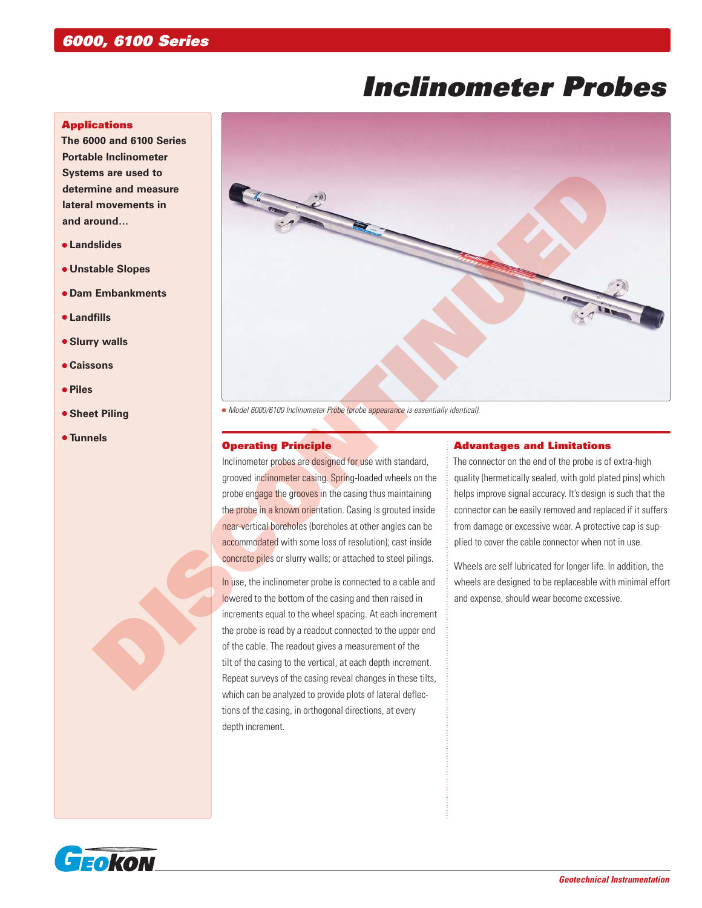# *Inclinometer Probes*

#### **Applications**

**The 6000 and 6100 Series Portable Inclinometer Systems are used to determine and measure lateral movements in and around…**

- **Landslides**
- **Unstable Slopes**
- **Dam Embankments**
- **Landfills**
- **Slurry walls**
- **Caissons**
- **Piles**
- **Sheet Piling**
- **Tunnels**



 *Model 6000/6100 Inclinometer Probe (probe appearance is essentially identical).*

#### Operating Principle

Inclinometer probes are designed for use with standard, grooved inclinometer casing. Spring-loaded wheels on the probe engage the grooves in the casing thus maintaining the probe in a known orientation. Casing is grouted inside near-vertical boreholes (boreholes at other angles can be accommodated with some loss of resolution); cast inside concrete piles or slurry walls; or attached to steel pilings.

In use, the inclinometer probe is connected to a cable and lowered to the bottom of the casing and then raised in increments equal to the wheel spacing. At each increment the probe is read by a readout connected to the upper end of the cable. The readout gives a measurement of the tilt of the casing to the vertical, at each depth increment. Repeat surveys of the casing reveal changes in these tilts, which can be analyzed to provide plots of lateral deflections of the casing, in orthogonal directions, at every depth increment.

#### Advantages and Limitations

The connector on the end of the probe is of extra-high quality (hermetically sealed, with gold plated pins) which helps improve signal accuracy. It's design is such that the connector can be easily removed and replaced if it suffers from damage or excessive wear. A protective cap is supplied to cover the cable connector when not in use.

Wheels are self lubricated for longer life. In addition, the wheels are designed to be replaceable with minimal effort and expense, should wear become excessive.

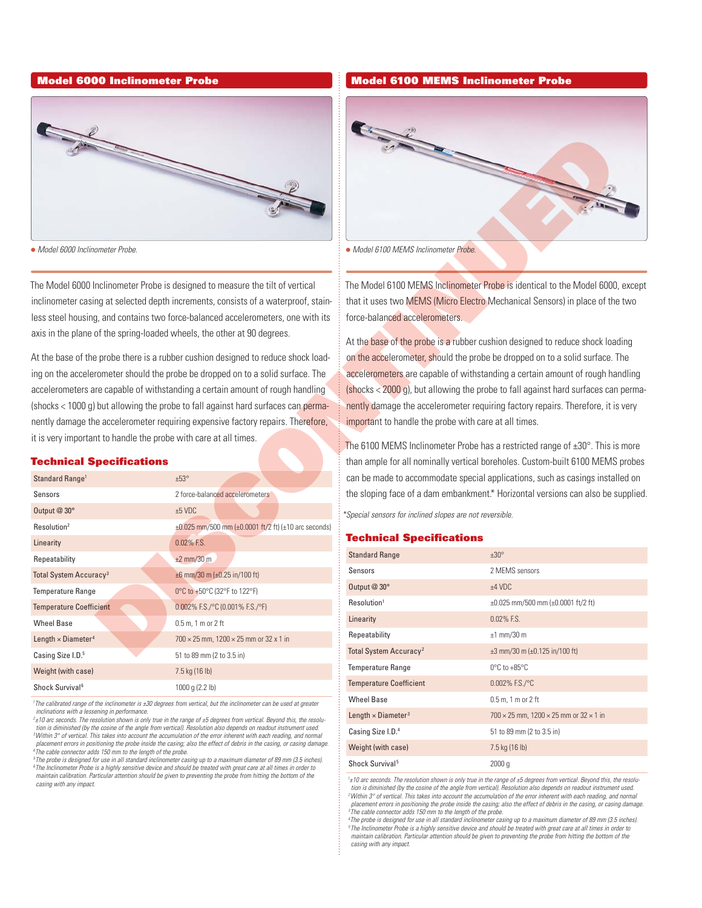

#### Technical Specifications

| The                                                                                                                                                                                                                                      |                                                                                                                                                                                                                                                                                                                                                                                                                                                                                                                                                                                                                                                                                                                                               |  |                                                                                                                                                     |  |                                                                                                                                                                                                                                                                                                                                                                                                                                                                                                                                                                                                                                                                                                                                                                                                                                                                                     |
|------------------------------------------------------------------------------------------------------------------------------------------------------------------------------------------------------------------------------------------|-----------------------------------------------------------------------------------------------------------------------------------------------------------------------------------------------------------------------------------------------------------------------------------------------------------------------------------------------------------------------------------------------------------------------------------------------------------------------------------------------------------------------------------------------------------------------------------------------------------------------------------------------------------------------------------------------------------------------------------------------|--|-----------------------------------------------------------------------------------------------------------------------------------------------------|--|-------------------------------------------------------------------------------------------------------------------------------------------------------------------------------------------------------------------------------------------------------------------------------------------------------------------------------------------------------------------------------------------------------------------------------------------------------------------------------------------------------------------------------------------------------------------------------------------------------------------------------------------------------------------------------------------------------------------------------------------------------------------------------------------------------------------------------------------------------------------------------------|
| • Model 6000 Inclinometer Probe.                                                                                                                                                                                                         |                                                                                                                                                                                                                                                                                                                                                                                                                                                                                                                                                                                                                                                                                                                                               |  | • Model 6100 MEMS Inclinometer Probe.                                                                                                               |  |                                                                                                                                                                                                                                                                                                                                                                                                                                                                                                                                                                                                                                                                                                                                                                                                                                                                                     |
| axis in the plane of the spring-loaded wheels, the other at 90 degrees.<br>it is very important to handle the probe with care at all times.<br><b>Technical Specifications</b><br>Standard Range <sup>1</sup><br>Sensors<br>Output @ 30° | The Model 6000 Inclinometer Probe is designed to measure the tilt of vertical<br>inclinometer casing at selected depth increments, consists of a waterproof, stain-<br>less steel housing, and contains two force-balanced accelerometers, one with its<br>At the base of the probe there is a rubber cushion designed to reduce shock load-<br>ing on the accelerometer should the probe be dropped on to a solid surface. The<br>accelerometers are capable of withstanding a certain amount of rough handling<br>(shocks < 1000 g) but allowing the probe to fall against hard surfaces can perma-<br>nently damage the accelerometer requiring expensive factory repairs. Therefore,<br>±53°<br>2 force-balanced accelerometers<br>±5 VDC |  | force-balanced accelerometers.<br>important to handle the probe with care at all times.<br>*Special sensors for inclined slopes are not reversible. |  | The Model 6100 MEMS Inclinometer Probe is identical to the Model 6000.<br>that it uses two MEMS (Micro Electro Mechanical Sensors) in place of the<br>At the base of the probe is a rubber cushion designed to reduce shock load<br>on the accelerometer, should the probe be dropped on to a solid surface. T<br>accelerometers are capable of withstanding a certain amount of rough har<br>(shocks < 2000 g), but allowing the probe to fall against hard surfaces can<br>nently damage the accelerometer requiring factory repairs. Therefore, it is<br>The 6100 MEMS Inclinometer Probe has a restricted range of $\pm 30^\circ$ . This is<br>than ample for all nominally vertical boreholes. Custom-built 6100 MEMS<br>can be made to accommodate special applications, such as casings install<br>the sloping face of a dam embankment.* Horizontal versions can also be su |
| Resolution <sup>2</sup>                                                                                                                                                                                                                  | ±0.025 mm/500 mm (±0.0001 ft/2 ft) (±10 arc seconds)                                                                                                                                                                                                                                                                                                                                                                                                                                                                                                                                                                                                                                                                                          |  |                                                                                                                                                     |  |                                                                                                                                                                                                                                                                                                                                                                                                                                                                                                                                                                                                                                                                                                                                                                                                                                                                                     |
| Linearity                                                                                                                                                                                                                                | 0.02% F.S.                                                                                                                                                                                                                                                                                                                                                                                                                                                                                                                                                                                                                                                                                                                                    |  | <b>Technical Specifications</b>                                                                                                                     |  |                                                                                                                                                                                                                                                                                                                                                                                                                                                                                                                                                                                                                                                                                                                                                                                                                                                                                     |
| Repeatability                                                                                                                                                                                                                            | $±2$ mm/30 m                                                                                                                                                                                                                                                                                                                                                                                                                                                                                                                                                                                                                                                                                                                                  |  | <b>Standard Range</b>                                                                                                                               |  | ±30°<br>2 MEMS sensors                                                                                                                                                                                                                                                                                                                                                                                                                                                                                                                                                                                                                                                                                                                                                                                                                                                              |
| Total System Accuracy <sup>3</sup>                                                                                                                                                                                                       | $\pm 6$ mm/30 m ( $\pm 0.25$ in/100 ft)                                                                                                                                                                                                                                                                                                                                                                                                                                                                                                                                                                                                                                                                                                       |  | Sensors<br>Output @ 30°                                                                                                                             |  | $±4$ VDC                                                                                                                                                                                                                                                                                                                                                                                                                                                                                                                                                                                                                                                                                                                                                                                                                                                                            |
| <b>Temperature Range</b>                                                                                                                                                                                                                 | 0°C to +50°C (32°F to 122°F)                                                                                                                                                                                                                                                                                                                                                                                                                                                                                                                                                                                                                                                                                                                  |  | Resolution <sup>1</sup>                                                                                                                             |  | $\pm 0.025$ mm/500 mm ( $\pm 0.0001$ ft/2 ft)                                                                                                                                                                                                                                                                                                                                                                                                                                                                                                                                                                                                                                                                                                                                                                                                                                       |
| <b>Temperature Coefficient</b>                                                                                                                                                                                                           | 0.002% F.S./°C (0.001% F.S./°F)                                                                                                                                                                                                                                                                                                                                                                                                                                                                                                                                                                                                                                                                                                               |  | Linearity                                                                                                                                           |  | 0.02% F.S.                                                                                                                                                                                                                                                                                                                                                                                                                                                                                                                                                                                                                                                                                                                                                                                                                                                                          |
| <b>Wheel Base</b>                                                                                                                                                                                                                        | $0.5$ m, 1 m or 2 ft                                                                                                                                                                                                                                                                                                                                                                                                                                                                                                                                                                                                                                                                                                                          |  | Repeatability                                                                                                                                       |  | $±1$ mm/30 m                                                                                                                                                                                                                                                                                                                                                                                                                                                                                                                                                                                                                                                                                                                                                                                                                                                                        |
| Length $\times$ Diameter <sup>4</sup>                                                                                                                                                                                                    | $700 \times 25$ mm, $1200 \times 25$ mm or 32 x 1 in                                                                                                                                                                                                                                                                                                                                                                                                                                                                                                                                                                                                                                                                                          |  | Total System Accuracy <sup>2</sup>                                                                                                                  |  | $\pm 3$ mm/30 m ( $\pm 0.125$ in/100 ft)                                                                                                                                                                                                                                                                                                                                                                                                                                                                                                                                                                                                                                                                                                                                                                                                                                            |
| Casing Size I.D. <sup>5</sup>                                                                                                                                                                                                            | 51 to 89 mm (2 to 3.5 in)                                                                                                                                                                                                                                                                                                                                                                                                                                                                                                                                                                                                                                                                                                                     |  | <b>Temperature Range</b>                                                                                                                            |  | $0^{\circ}$ C to +85 $^{\circ}$ C                                                                                                                                                                                                                                                                                                                                                                                                                                                                                                                                                                                                                                                                                                                                                                                                                                                   |
| Weight (with case)                                                                                                                                                                                                                       | 7.5 kg (16 lb)                                                                                                                                                                                                                                                                                                                                                                                                                                                                                                                                                                                                                                                                                                                                |  |                                                                                                                                                     |  |                                                                                                                                                                                                                                                                                                                                                                                                                                                                                                                                                                                                                                                                                                                                                                                                                                                                                     |
| Shock Survival <sup>6</sup>                                                                                                                                                                                                              | 1000 g (2.2 lb)                                                                                                                                                                                                                                                                                                                                                                                                                                                                                                                                                                                                                                                                                                                               |  | <b>Temperature Coefficient</b>                                                                                                                      |  | 0.002% F.S./°C                                                                                                                                                                                                                                                                                                                                                                                                                                                                                                                                                                                                                                                                                                                                                                                                                                                                      |

<sup>1</sup> The calibrated range of the inclinometer is ±30 degrees from vertical, but the inclinometer can be used at greater *inclinations with a lessening in performance.* 

*5 The probe is designed for use in all standard inclinometer casing up to a maximum diameter of 89 mm (3.5 inches). 6 The Inclinometer Probe is a highly sensitive device and should be treated with great care at all times in order to maintain calibration. Particular attention should be given to preventing the probe from hitting the bottom of the casing with any impact.*

#### Model 6000 Inclinometer Probe Model 6100 MEMS Inclinometer Probe



The Model 6100 MEMS Inclinometer Probe is identical to the Model 6000, except that it uses two **MEMS** (Micro Electro Mechanical Sensors) in place of the two force-balanced accelerometers.

At the base of the probe is a rubber cushion designed to reduce shock loading on the accelerometer, should the probe be dropped on to a solid surface. The accelerometers are capable of withstanding a certain amount of rough handling (shocks < 2000 g), but allowing the probe to fall against hard surfaces can permanently damage the accelerometer requiring factory repairs. Therefore, it is very important to handle the probe with care at all times.

The 6100 MEMS Inclinometer Probe has a restricted range of  $\pm 30^\circ$ . This is more than ample for all nominally vertical boreholes. Custom-built 6100 MEMS probes can be made to accommodate special applications, such as casings installed on the sloping face of a dam embankment.\* Horizontal versions can also be supplied.

#### Technical Specifications

| <b>Standard Range</b>                 | $+30^\circ$                                                 |
|---------------------------------------|-------------------------------------------------------------|
| Sensors                               | 2 MFMS sensors                                              |
| Output @ 30°                          | $±4$ VDC                                                    |
| Resolution <sup>1</sup>               | $\pm 0.025$ mm/500 mm ( $\pm 0.0001$ ft/2 ft)               |
| Linearity                             | $0.02\%$ F.S.                                               |
| Repeatability                         | $±1$ mm/30 m                                                |
| Total System Accuracy <sup>2</sup>    | $\pm 3$ mm/30 m ( $\pm 0.125$ in/100 ft)                    |
| <b>Temperature Range</b>              | $0^{\circ}$ C to +85 $^{\circ}$ C                           |
| <b>Temperature Coefficient</b>        | $0.002\%$ F.S./°C                                           |
| <b>Wheel Base</b>                     | $0.5$ m, 1 m or 2 ft                                        |
| Length $\times$ Diameter <sup>3</sup> | $700 \times 25$ mm, 1200 $\times$ 25 mm or 32 $\times$ 1 in |
| Casing Size I.D. <sup>4</sup>         | 51 to 89 mm (2 to 3.5 in)                                   |
| Weight (with case)                    | 7.5 kg (16 lb)                                              |
| Shock Survival <sup>5</sup>           | 2000q                                                       |

*1 ±10 arc seconds. The resolution shown is only true in the range of ±5 degrees from vertical. Beyond this, the resolution is diminished (by the cosine of the angle from vertical). Resolution also depends on readout instrument used. 2 Within 3° of vertical. This takes into account the accumulation of the error inherent with each reading, and normal placement errors in positioning the probe inside the casing; also the effect of debris in the casing, or casing damage. 3 The cable connector adds 150 mm to the length of the probe.*

*4 The probe is designed for use in all standard inclinometer casing up to a maximum diameter of 89 mm (3.5 inches).* The Inclinometer Probe is a highly sensitive device and should be treated with great care at all times in order to<br>maintain calibration. Particular attention should be given to preventing the probe from hitting the bottom *casing with any impact.*

*<sup>2</sup> ±10 arc seconds. The resolution shown is only true in the range of ±5 degrees from vertical. Beyond this, the resolution is diminished (by the cosine of the angle from vertical). Resolution also depends on readout instrument used.*  <sup>3</sup>Within 3° of vertical. This takes into account the accumulation of the error inherent with each reading, and normal *placement errors in positioning the probe inside the casing; also the effect of debris in the casing, or casing damage. 4 The cable connector adds 150 mm to the length of the probe.*